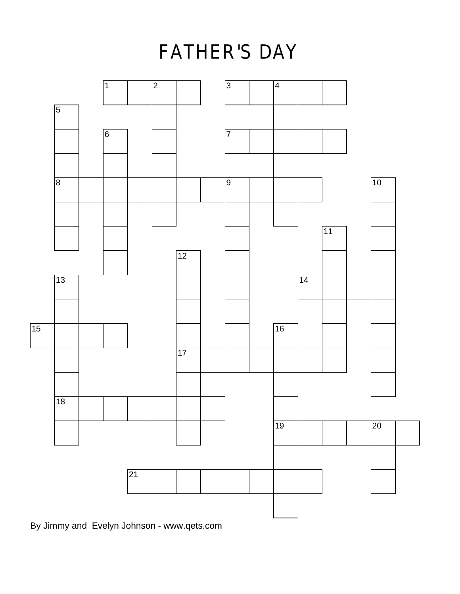### **FATHER'S DAY**



By Jimmy and Evelyn Johnson - www.qets.com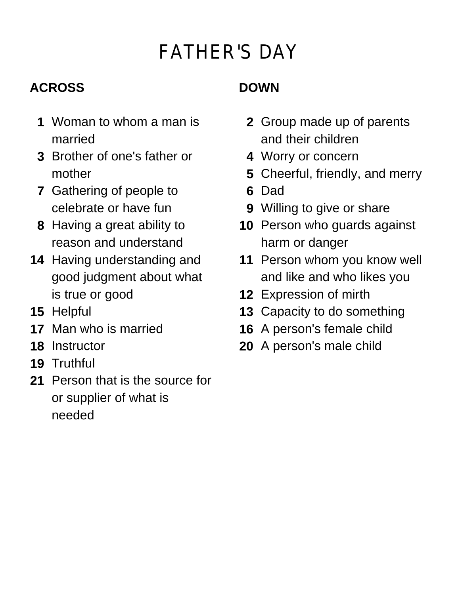# **FATHER'S DAY**

### **ACROSS**

- **1** Woman to whom a man is married
- **3** Brother of one's father or mother
- **7** Gathering of people to celebrate or have fun
- **8** Having a great ability to reason and understand
- **14** Having understanding and good judgment about what is true or good
- **15** Helpful
- **17** Man who is married
- **18** Instructor
- **19** Truthful
- **21** Person that is the source for or supplier of what is needed

### **DOWN**

- **2** Group made up of parents and their children
- **4** Worry or concern
- **5** Cheerful, friendly, and merry
- **6** Dad
- **9** Willing to give or share
- **10** Person who guards against harm or danger
- **11** Person whom you know well and like and who likes you
- **12** Expression of mirth
- **13** Capacity to do something
- **16** A person's female child
- **20** A person's male child